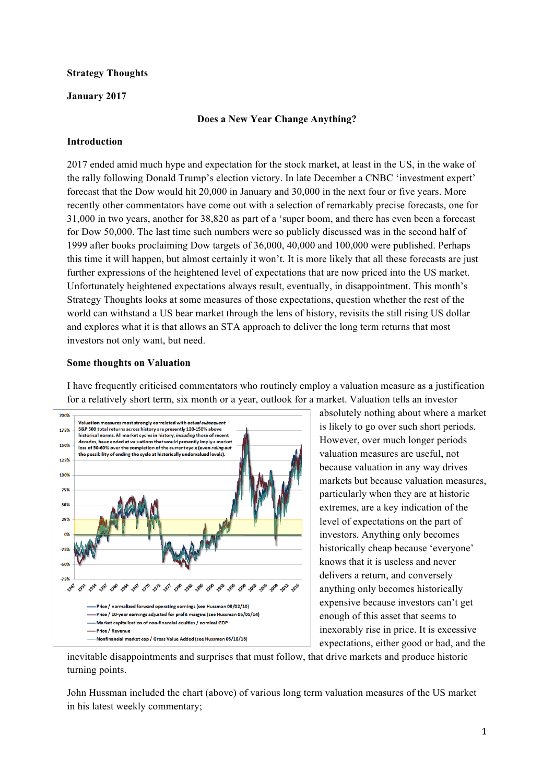## **Strategy Thoughts**

# **January 2017**

# **Does a New Year Change Anything?**

# **Introduction**

2017 ended amid much hype and expectation for the stock market, at least in the US, in the wake of the rally following Donald Trump's election victory. In late December a CNBC 'investment expert' forecast that the Dow would hit 20,000 in January and 30,000 in the next four or five years. More recently other commentators have come out with a selection of remarkably precise forecasts, one for 31,000 in two years, another for 38,820 as part of a 'super boom, and there has even been a forecast for Dow 50,000. The last time such numbers were so publicly discussed was in the second half of 1999 after books proclaiming Dow targets of 36,000, 40,000 and 100,000 were published. Perhaps this time it will happen, but almost certainly it won't. It is more likely that all these forecasts are just further expressions of the heightened level of expectations that are now priced into the US market. Unfortunately heightened expectations always result, eventually, in disappointment. This month's Strategy Thoughts looks at some measures of those expectations, question whether the rest of the world can withstand a US bear market through the lens of history, revisits the still rising US dollar and explores what it is that allows an STA approach to deliver the long term returns that most investors not only want, but need.

# **Some thoughts on Valuation**

I have frequently criticised commentators who routinely employ a valuation measure as a justification for a relatively short term, six month or a year, outlook for a market. Valuation tells an investor



absolutely nothing about where a market is likely to go over such short periods. However, over much longer periods valuation measures are useful, not because valuation in any way drives markets but because valuation measures, particularly when they are at historic extremes, are a key indication of the level of expectations on the part of investors. Anything only becomes historically cheap because 'everyone' knows that it is useless and never delivers a return, and conversely anything only becomes historically expensive because investors can't get enough of this asset that seems to inexorably rise in price. It is excessive expectations, either good or bad, and the

inevitable disappointments and surprises that must follow, that drive markets and produce historic turning points.

John Hussman included the chart (above) of various long term valuation measures of the US market in his latest weekly commentary;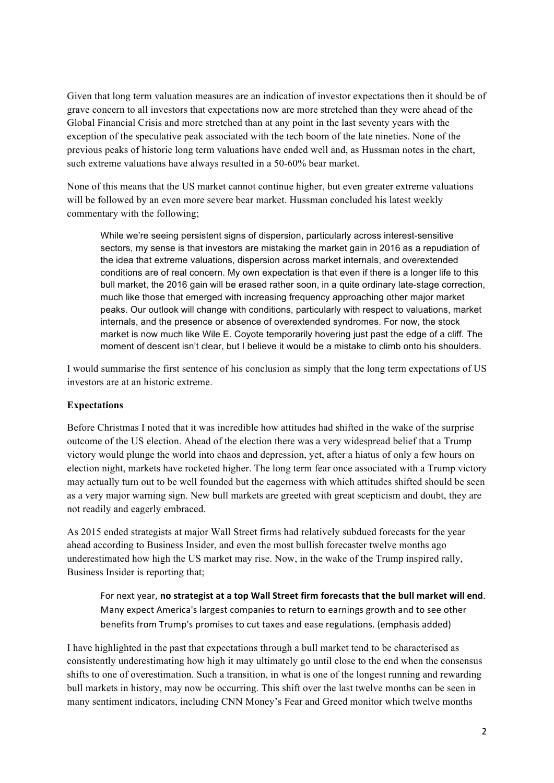Given that long term valuation measures are an indication of investor expectations then it should be of grave concern to all investors that expectations now are more stretched than they were ahead of the Global Financial Crisis and more stretched than at any point in the last seventy years with the exception of the speculative peak associated with the tech boom of the late nineties. None of the previous peaks of historic long term valuations have ended well and, as Hussman notes in the chart, such extreme valuations have always resulted in a 50-60% bear market.

None of this means that the US market cannot continue higher, but even greater extreme valuations will be followed by an even more severe bear market. Hussman concluded his latest weekly commentary with the following;

While we're seeing persistent signs of dispersion, particularly across interest-sensitive sectors, my sense is that investors are mistaking the market gain in 2016 as a repudiation of the idea that extreme valuations, dispersion across market internals, and overextended conditions are of real concern. My own expectation is that even if there is a longer life to this bull market, the 2016 gain will be erased rather soon, in a quite ordinary late-stage correction, much like those that emerged with increasing frequency approaching other major market peaks. Our outlook will change with conditions, particularly with respect to valuations, market internals, and the presence or absence of overextended syndromes. For now, the stock market is now much like Wile E. Coyote temporarily hovering just past the edge of a cliff. The moment of descent isn't clear, but I believe it would be a mistake to climb onto his shoulders.

I would summarise the first sentence of his conclusion as simply that the long term expectations of US investors are at an historic extreme.

# **Expectations**

Before Christmas I noted that it was incredible how attitudes had shifted in the wake of the surprise outcome of the US election. Ahead of the election there was a very widespread belief that a Trump victory would plunge the world into chaos and depression, yet, after a hiatus of only a few hours on election night, markets have rocketed higher. The long term fear once associated with a Trump victory may actually turn out to be well founded but the eagerness with which attitudes shifted should be seen as a very major warning sign. New bull markets are greeted with great scepticism and doubt, they are not readily and eagerly embraced.

As 2015 ended strategists at major Wall Street firms had relatively subdued forecasts for the year ahead according to Business Insider, and even the most bullish forecaster twelve months ago underestimated how high the US market may rise. Now, in the wake of the Trump inspired rally, Business Insider is reporting that;

For next year, no strategist at a top Wall Street firm forecasts that the bull market will end. Many expect America's largest companies to return to earnings growth and to see other benefits from Trump's promises to cut taxes and ease regulations. (emphasis added)

I have highlighted in the past that expectations through a bull market tend to be characterised as consistently underestimating how high it may ultimately go until close to the end when the consensus shifts to one of overestimation. Such a transition, in what is one of the longest running and rewarding bull markets in history, may now be occurring. This shift over the last twelve months can be seen in many sentiment indicators, including CNN Money's Fear and Greed monitor which twelve months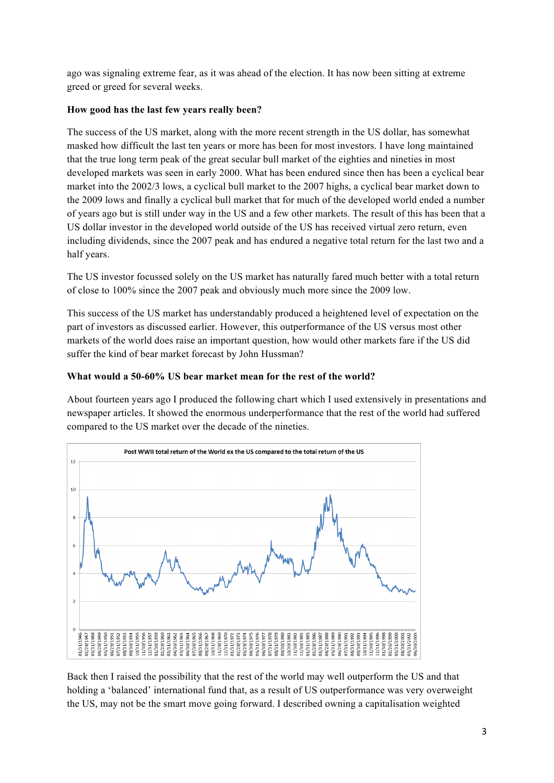ago was signaling extreme fear, as it was ahead of the election. It has now been sitting at extreme greed or greed for several weeks.

# **How good has the last few years really been?**

The success of the US market, along with the more recent strength in the US dollar, has somewhat masked how difficult the last ten years or more has been for most investors. I have long maintained that the true long term peak of the great secular bull market of the eighties and nineties in most developed markets was seen in early 2000. What has been endured since then has been a cyclical bear market into the 2002/3 lows, a cyclical bull market to the 2007 highs, a cyclical bear market down to the 2009 lows and finally a cyclical bull market that for much of the developed world ended a number of years ago but is still under way in the US and a few other markets. The result of this has been that a US dollar investor in the developed world outside of the US has received virtual zero return, even including dividends, since the 2007 peak and has endured a negative total return for the last two and a half years.

The US investor focussed solely on the US market has naturally fared much better with a total return of close to 100% since the 2007 peak and obviously much more since the 2009 low.

This success of the US market has understandably produced a heightened level of expectation on the part of investors as discussed earlier. However, this outperformance of the US versus most other markets of the world does raise an important question, how would other markets fare if the US did suffer the kind of bear market forecast by John Hussman?

# **What would a 50-60% US bear market mean for the rest of the world?**

About fourteen years ago I produced the following chart which I used extensively in presentations and newspaper articles. It showed the enormous underperformance that the rest of the world had suffered compared to the US market over the decade of the nineties.



Back then I raised the possibility that the rest of the world may well outperform the US and that holding a 'balanced' international fund that, as a result of US outperformance was very overweight the US, may not be the smart move going forward. I described owning a capitalisation weighted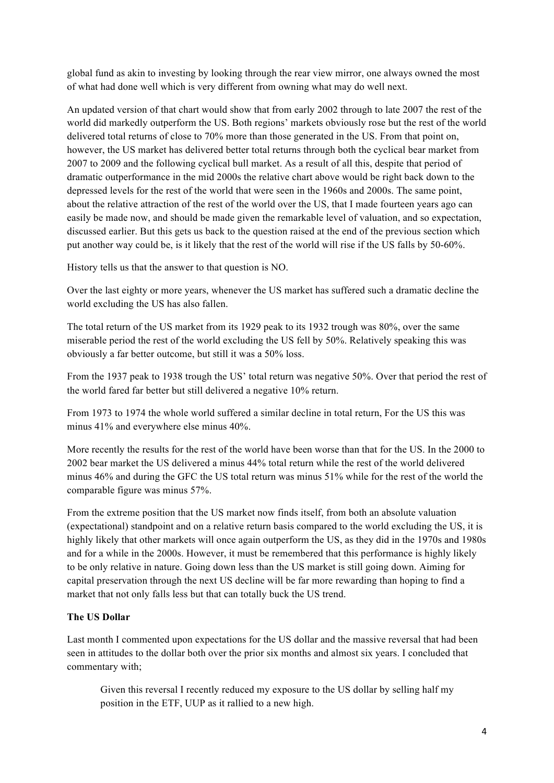global fund as akin to investing by looking through the rear view mirror, one always owned the most of what had done well which is very different from owning what may do well next.

An updated version of that chart would show that from early 2002 through to late 2007 the rest of the world did markedly outperform the US. Both regions' markets obviously rose but the rest of the world delivered total returns of close to 70% more than those generated in the US. From that point on, however, the US market has delivered better total returns through both the cyclical bear market from 2007 to 2009 and the following cyclical bull market. As a result of all this, despite that period of dramatic outperformance in the mid 2000s the relative chart above would be right back down to the depressed levels for the rest of the world that were seen in the 1960s and 2000s. The same point, about the relative attraction of the rest of the world over the US, that I made fourteen years ago can easily be made now, and should be made given the remarkable level of valuation, and so expectation, discussed earlier. But this gets us back to the question raised at the end of the previous section which put another way could be, is it likely that the rest of the world will rise if the US falls by 50-60%.

History tells us that the answer to that question is NO.

Over the last eighty or more years, whenever the US market has suffered such a dramatic decline the world excluding the US has also fallen.

The total return of the US market from its 1929 peak to its 1932 trough was 80%, over the same miserable period the rest of the world excluding the US fell by 50%. Relatively speaking this was obviously a far better outcome, but still it was a 50% loss.

From the 1937 peak to 1938 trough the US' total return was negative 50%. Over that period the rest of the world fared far better but still delivered a negative 10% return.

From 1973 to 1974 the whole world suffered a similar decline in total return, For the US this was minus 41% and everywhere else minus 40%.

More recently the results for the rest of the world have been worse than that for the US. In the 2000 to 2002 bear market the US delivered a minus 44% total return while the rest of the world delivered minus 46% and during the GFC the US total return was minus 51% while for the rest of the world the comparable figure was minus 57%.

From the extreme position that the US market now finds itself, from both an absolute valuation (expectational) standpoint and on a relative return basis compared to the world excluding the US, it is highly likely that other markets will once again outperform the US, as they did in the 1970s and 1980s and for a while in the 2000s. However, it must be remembered that this performance is highly likely to be only relative in nature. Going down less than the US market is still going down. Aiming for capital preservation through the next US decline will be far more rewarding than hoping to find a market that not only falls less but that can totally buck the US trend.

# **The US Dollar**

Last month I commented upon expectations for the US dollar and the massive reversal that had been seen in attitudes to the dollar both over the prior six months and almost six years. I concluded that commentary with;

Given this reversal I recently reduced my exposure to the US dollar by selling half my position in the ETF, UUP as it rallied to a new high.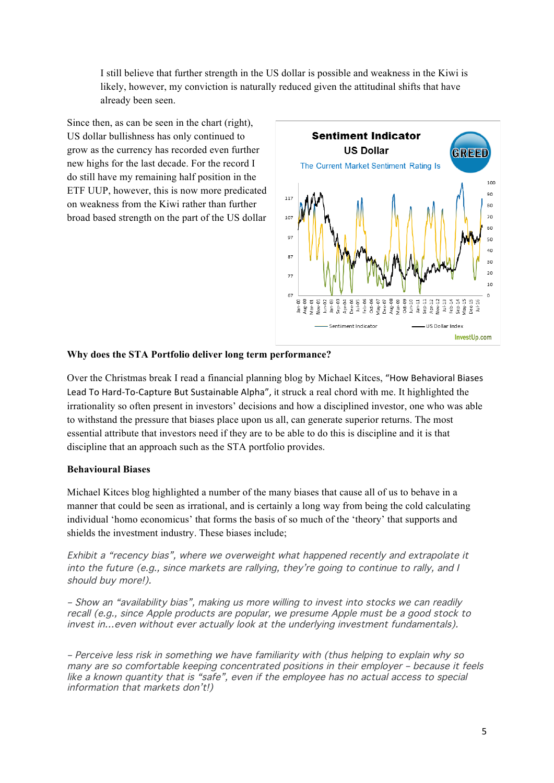I still believe that further strength in the US dollar is possible and weakness in the Kiwi is likely, however, my conviction is naturally reduced given the attitudinal shifts that have already been seen.

Since then, as can be seen in the chart (right), US dollar bullishness has only continued to grow as the currency has recorded even further new highs for the last decade. For the record I do still have my remaining half position in the ETF UUP, however, this is now more predicated on weakness from the Kiwi rather than further broad based strength on the part of the US dollar



# **Why does the STA Portfolio deliver long term performance?**

Over the Christmas break I read a financial planning blog by Michael Kitces, "How Behavioral Biases Lead To Hard-To-Capture But Sustainable Alpha", it struck a real chord with me. It highlighted the irrationality so often present in investors' decisions and how a disciplined investor, one who was able to withstand the pressure that biases place upon us all, can generate superior returns. The most essential attribute that investors need if they are to be able to do this is discipline and it is that discipline that an approach such as the STA portfolio provides.

## **Behavioural Biases**

Michael Kitces blog highlighted a number of the many biases that cause all of us to behave in a manner that could be seen as irrational, and is certainly a long way from being the cold calculating individual 'homo economicus' that forms the basis of so much of the 'theory' that supports and shields the investment industry. These biases include;

Exhibit a "recency bias", where we overweight what happened recently and extrapolate it into the future (e.g., since markets are rallying, they're going to continue to rally, and I should buy more!).

– Show an "availability bias", making us more willing to invest into stocks we can readily recall (e.g., since Apple products are popular, we presume Apple must be a good stock to invest in…even without ever actually look at the underlying investment fundamentals).

– Perceive less risk in something we have familiarity with (thus helping to explain why so many are so comfortable keeping concentrated positions in their employer – because it feels like a known quantity that is "safe", even if the employee has no actual access to special information that markets don't!)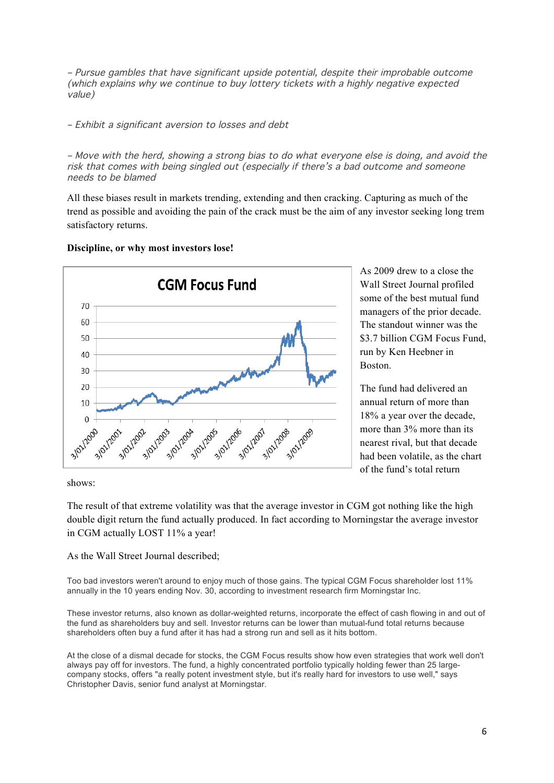– Pursue gambles that have significant upside potential, despite their improbable outcome (which explains why we continue to buy lottery tickets with a highly negative expected value)

– Exhibit a significant aversion to losses and debt

– Move with the herd, showing a strong bias to do what everyone else is doing, and avoid the risk that comes with being singled out (especially if there's a bad outcome and someone needs to be blamed

All these biases result in markets trending, extending and then cracking. Capturing as much of the trend as possible and avoiding the pain of the crack must be the aim of any investor seeking long trem satisfactory returns.

#### **CGM Focus Fund** 70 60 50 40 30 20 10  $\overline{0}$ 3/01/2086 3/01/2006 3/01/2001 3/01/2005 3/01/2004 3/01/2000 3/01/2003 3/01/2009 **01-1202-2012** 3/01/2012

**Discipline, or why most investors lose!**

As 2009 drew to a close the Wall Street Journal profiled some of the best mutual fund managers of the prior decade. The standout winner was the \$3.7 billion CGM Focus Fund. run by Ken Heebner in Boston.

The fund had delivered an annual return of more than 18% a year over the decade, more than 3% more than its nearest rival, but that decade had been volatile, as the chart of the fund's total return

shows:

The result of that extreme volatility was that the average investor in CGM got nothing like the high double digit return the fund actually produced. In fact according to Morningstar the average investor in CGM actually LOST 11% a year!

As the Wall Street Journal described;

Too bad investors weren't around to enjoy much of those gains. The typical CGM Focus shareholder lost 11% annually in the 10 years ending Nov. 30, according to investment research firm Morningstar Inc.

These investor returns, also known as dollar-weighted returns, incorporate the effect of cash flowing in and out of the fund as shareholders buy and sell. Investor returns can be lower than mutual-fund total returns because shareholders often buy a fund after it has had a strong run and sell as it hits bottom.

At the close of a dismal decade for stocks, the CGM Focus results show how even strategies that work well don't always pay off for investors. The fund, a highly concentrated portfolio typically holding fewer than 25 largecompany stocks, offers "a really potent investment style, but it's really hard for investors to use well," says Christopher Davis, senior fund analyst at Morningstar.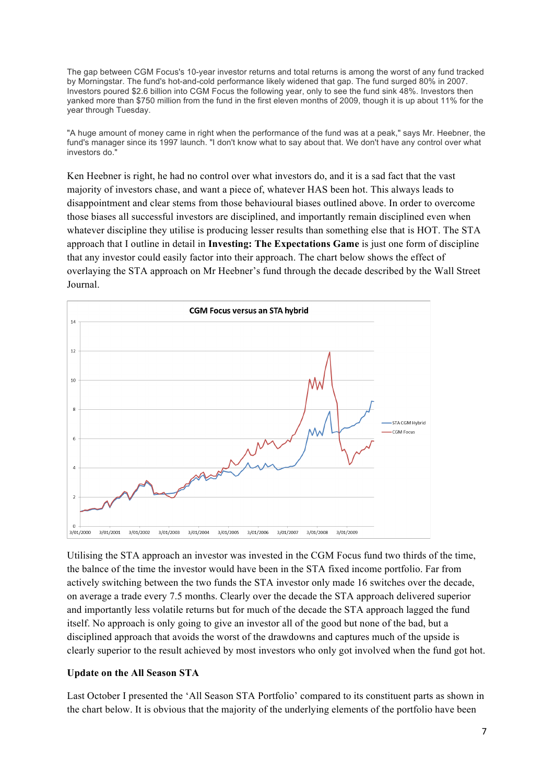The gap between CGM Focus's 10-year investor returns and total returns is among the worst of any fund tracked by Morningstar. The fund's hot-and-cold performance likely widened that gap. The fund surged 80% in 2007. Investors poured \$2.6 billion into CGM Focus the following year, only to see the fund sink 48%. Investors then yanked more than \$750 million from the fund in the first eleven months of 2009, though it is up about 11% for the year through Tuesday.

"A huge amount of money came in right when the performance of the fund was at a peak," says Mr. Heebner, the fund's manager since its 1997 launch. "I don't know what to say about that. We don't have any control over what investors do."

Ken Heebner is right, he had no control over what investors do, and it is a sad fact that the vast majority of investors chase, and want a piece of, whatever HAS been hot. This always leads to disappointment and clear stems from those behavioural biases outlined above. In order to overcome those biases all successful investors are disciplined, and importantly remain disciplined even when whatever discipline they utilise is producing lesser results than something else that is HOT. The STA approach that I outline in detail in **Investing: The Expectations Game** is just one form of discipline that any investor could easily factor into their approach. The chart below shows the effect of overlaying the STA approach on Mr Heebner's fund through the decade described by the Wall Street Journal.



Utilising the STA approach an investor was invested in the CGM Focus fund two thirds of the time, the balnce of the time the investor would have been in the STA fixed income portfolio. Far from actively switching between the two funds the STA investor only made 16 switches over the decade, on average a trade every 7.5 months. Clearly over the decade the STA approach delivered superior and importantly less volatile returns but for much of the decade the STA approach lagged the fund itself. No approach is only going to give an investor all of the good but none of the bad, but a disciplined approach that avoids the worst of the drawdowns and captures much of the upside is clearly superior to the result achieved by most investors who only got involved when the fund got hot.

## **Update on the All Season STA**

Last October I presented the 'All Season STA Portfolio' compared to its constituent parts as shown in the chart below. It is obvious that the majority of the underlying elements of the portfolio have been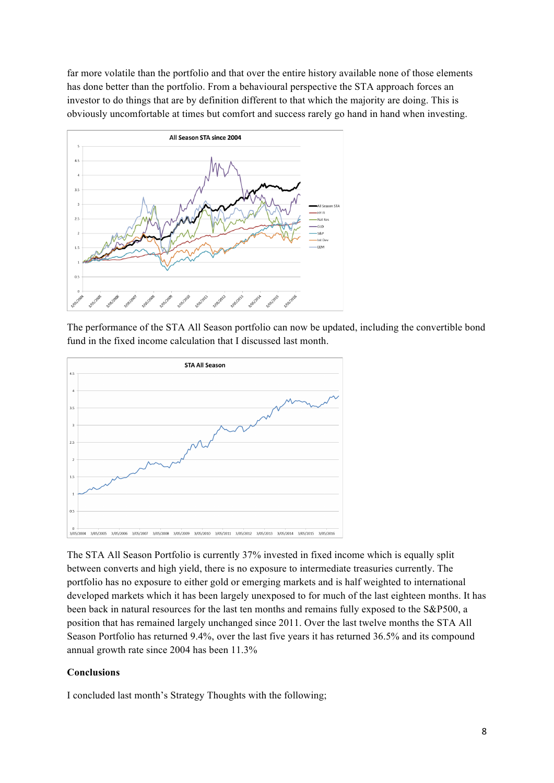far more volatile than the portfolio and that over the entire history available none of those elements has done better than the portfolio. From a behavioural perspective the STA approach forces an investor to do things that are by definition different to that which the majority are doing. This is obviously uncomfortable at times but comfort and success rarely go hand in hand when investing.



The performance of the STA All Season portfolio can now be updated, including the convertible bond fund in the fixed income calculation that I discussed last month.



The STA All Season Portfolio is currently 37% invested in fixed income which is equally split between converts and high yield, there is no exposure to intermediate treasuries currently. The portfolio has no exposure to either gold or emerging markets and is half weighted to international developed markets which it has been largely unexposed to for much of the last eighteen months. It has been back in natural resources for the last ten months and remains fully exposed to the S&P500, a position that has remained largely unchanged since 2011. Over the last twelve months the STA All Season Portfolio has returned 9.4%, over the last five years it has returned 36.5% and its compound annual growth rate since 2004 has been 11.3%

## **Conclusions**

I concluded last month's Strategy Thoughts with the following;